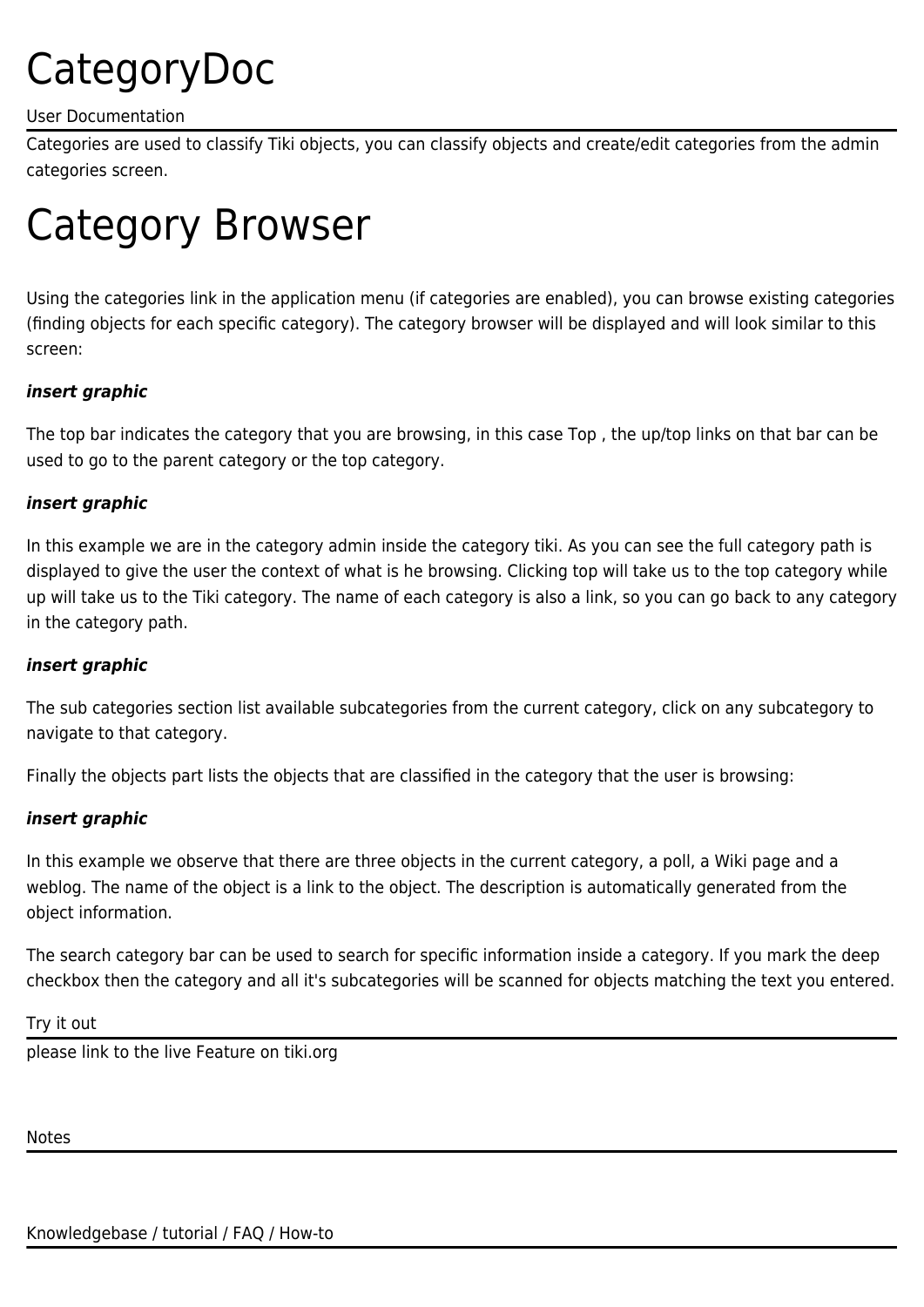# CategoryDoc

#### User Documentation

Categories are used to classify Tiki objects, you can classify objects and create/edit categories from the admin categories screen.

# Category Browser

Using the categories link in the application menu (if categories are enabled), you can browse existing categories (finding objects for each specific category). The category browser will be displayed and will look similar to this screen:

## *insert graphic*

The top bar indicates the category that you are browsing, in this case Top , the up/top links on that bar can be used to go to the parent category or the top category.

#### *insert graphic*

In this example we are in the category admin inside the category tiki. As you can see the full category path is displayed to give the user the context of what is he browsing. Clicking top will take us to the top category while up will take us to the Tiki category. The name of each category is also a link, so you can go back to any category in the category path.

#### *insert graphic*

The sub categories section list available subcategories from the current category, click on any subcategory to navigate to that category.

Finally the objects part lists the objects that are classified in the category that the user is browsing:

## *insert graphic*

In this example we observe that there are three objects in the current category, a poll, a Wiki page and a weblog. The name of the object is a link to the object. The description is automatically generated from the object information.

The search category bar can be used to search for specific information inside a category. If you mark the deep checkbox then the category and all it's subcategories will be scanned for objects matching the text you entered.

Try it out

please link to the live Feature on tiki.org

Notes